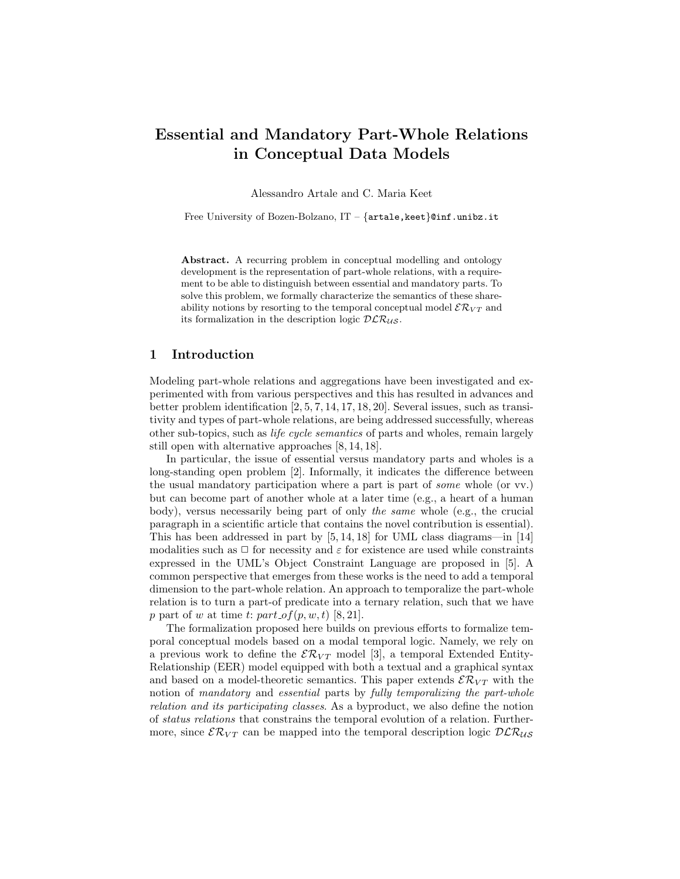# Essential and Mandatory Part-Whole Relations in Conceptual Data Models

Alessandro Artale and C. Maria Keet

Free University of Bozen-Bolzano,  $IT - \{artale, keet\}$ @inf.unibz.it

Abstract. A recurring problem in conceptual modelling and ontology development is the representation of part-whole relations, with a requirement to be able to distinguish between essential and mandatory parts. To solve this problem, we formally characterize the semantics of these shareability notions by resorting to the temporal conceptual model  $\mathcal{ER}_{VT}$  and its formalization in the description logic  $DLR_{US}$ .

## 1 Introduction

Modeling part-whole relations and aggregations have been investigated and experimented with from various perspectives and this has resulted in advances and better problem identification [2, 5, 7, 14, 17, 18, 20]. Several issues, such as transitivity and types of part-whole relations, are being addressed successfully, whereas other sub-topics, such as life cycle semantics of parts and wholes, remain largely still open with alternative approaches [8, 14, 18].

In particular, the issue of essential versus mandatory parts and wholes is a long-standing open problem [2]. Informally, it indicates the difference between the usual mandatory participation where a part is part of some whole (or vv.) but can become part of another whole at a later time (e.g., a heart of a human body), versus necessarily being part of only the same whole (e.g., the crucial paragraph in a scientific article that contains the novel contribution is essential). This has been addressed in part by [5, 14, 18] for UML class diagrams—in [14] modalities such as  $\Box$  for necessity and  $\varepsilon$  for existence are used while constraints expressed in the UML's Object Constraint Language are proposed in [5]. A common perspective that emerges from these works is the need to add a temporal dimension to the part-whole relation. An approach to temporalize the part-whole relation is to turn a part-of predicate into a ternary relation, such that we have p part of w at time t:  $part\_of(p, w, t)$  [8, 21].

The formalization proposed here builds on previous efforts to formalize temporal conceptual models based on a modal temporal logic. Namely, we rely on a previous work to define the  $\mathcal{ER}_{VT}$  model [3], a temporal Extended Entity-Relationship (EER) model equipped with both a textual and a graphical syntax and based on a model-theoretic semantics. This paper extends  $\mathcal{ER}_{VT}$  with the notion of mandatory and essential parts by fully temporalizing the part-whole relation and its participating classes. As a byproduct, we also define the notion of status relations that constrains the temporal evolution of a relation. Furthermore, since  $\mathcal{ER}_{VT}$  can be mapped into the temporal description logic  $\mathcal{DLR}_{US}$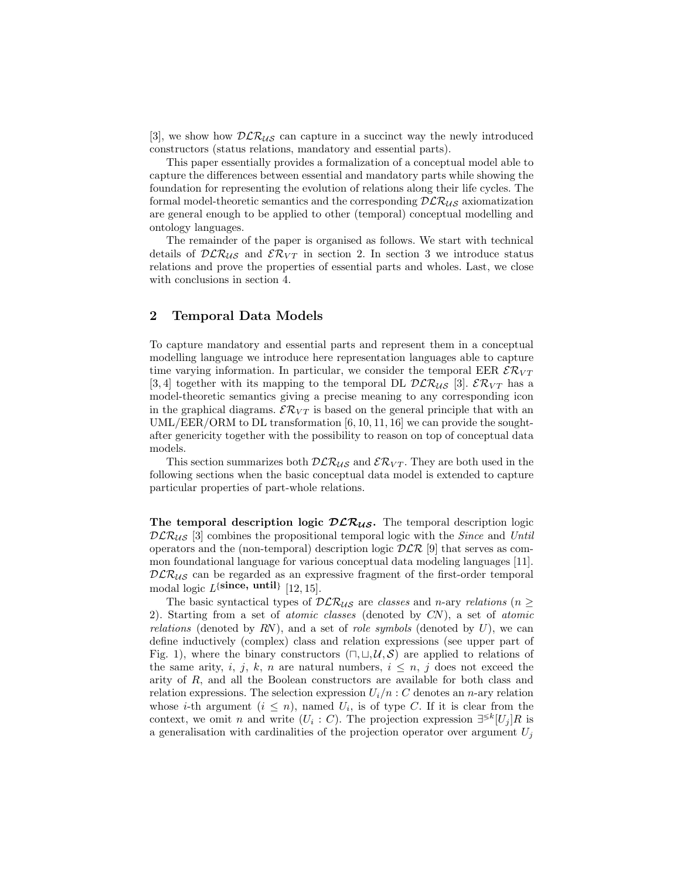[3], we show how  $DLR_{\mathcal{U}\mathcal{S}}$  can capture in a succinct way the newly introduced constructors (status relations, mandatory and essential parts).

This paper essentially provides a formalization of a conceptual model able to capture the differences between essential and mandatory parts while showing the foundation for representing the evolution of relations along their life cycles. The formal model-theoretic semantics and the corresponding  $DLR_{US}$  axiomatization are general enough to be applied to other (temporal) conceptual modelling and ontology languages.

The remainder of the paper is organised as follows. We start with technical details of  $DCR_{US}$  and  $\mathcal{ER}_{VT}$  in section 2. In section 3 we introduce status relations and prove the properties of essential parts and wholes. Last, we close with conclusions in section 4.

#### 2 Temporal Data Models

To capture mandatory and essential parts and represent them in a conceptual modelling language we introduce here representation languages able to capture time varying information. In particular, we consider the temporal EER  $\mathcal{ER}_{VT}$ [3, 4] together with its mapping to the temporal DL  $\mathcal{DLR}_{\mathcal{US}}$  [3].  $\mathcal{ER}_{VT}$  has a model-theoretic semantics giving a precise meaning to any corresponding icon in the graphical diagrams.  $\mathcal{ER}_{VT}$  is based on the general principle that with an UML/EER/ORM to DL transformation [6, 10, 11, 16] we can provide the soughtafter genericity together with the possibility to reason on top of conceptual data models.

This section summarizes both  $DLR_{US}$  and  $\mathcal{ER}_{VT}$ . They are both used in the following sections when the basic conceptual data model is extended to capture particular properties of part-whole relations.

The temporal description logic  $DLR_{US}$ . The temporal description logic  $DLR_{US}$  [3] combines the propositional temporal logic with the *Since* and Until operators and the (non-temporal) description logic  $D\mathcal{LR}$  [9] that serves as common foundational language for various conceptual data modeling languages [11].  $DLR_{US}$  can be regarded as an expressive fragment of the first-order temporal modal logic  $L^{\{\text{since, until}\}}$  [12, 15].

The basic syntactical types of  $DLR_{US}$  are classes and n-ary relations (n  $\geq$ 2). Starting from a set of atomic classes (denoted by CN), a set of atomic relations (denoted by RN), and a set of role symbols (denoted by  $U$ ), we can define inductively (complex) class and relation expressions (see upper part of Fig. 1), where the binary constructors  $(\square, \square, \mathcal{U}, \mathcal{S})$  are applied to relations of the same arity, i, j, k, n are natural numbers,  $i \leq n$ , j does not exceed the arity of R, and all the Boolean constructors are available for both class and relation expressions. The selection expression  $U_i/n$  : C denotes an n-ary relation whose *i*-th argument  $(i \leq n)$ , named  $U_i$ , is of type C. If it is clear from the context, we omit *n* and write  $(U_i : C)$ . The projection expression  $\exists^{\leq k} [U_j]R$  is a generalisation with cardinalities of the projection operator over argument  $U_j$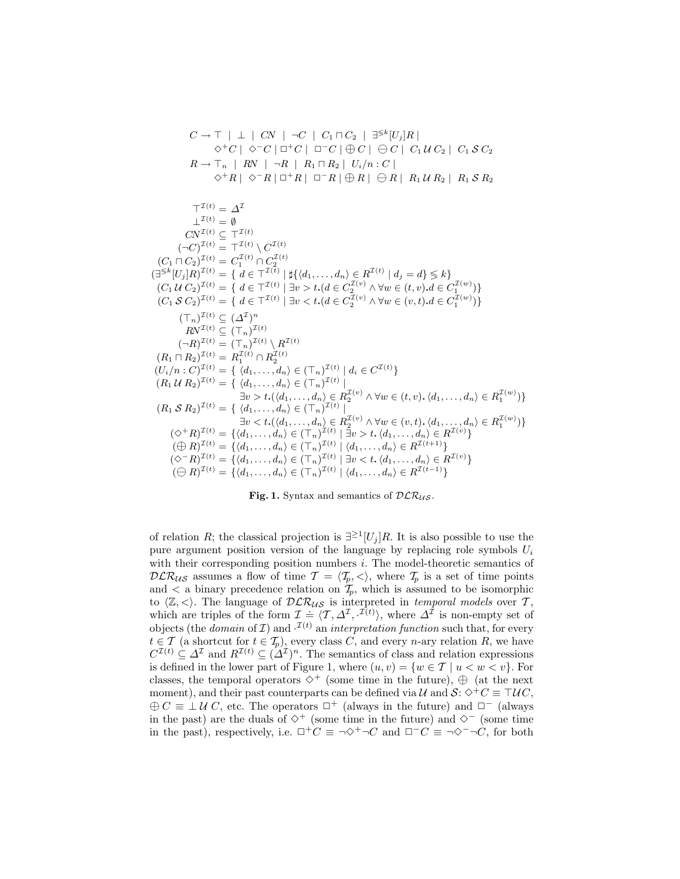$$
C \to T | \perp | CN | \neg C | C_1 \sqcap C_2 | \exists^{\leq k} [U_j]R |
$$
  
\n
$$
\diamond^+ C | \diamond^- C | \Box^+ C | \Box^- C | \oplus C | \ominus C | C_1 U C_2 | C_1 S C_2
$$
  
\n
$$
R \to T_n | RN | \neg R | R_1 \sqcap R_2 | U_i/n : C |
$$
  
\n
$$
\diamond^+ R | \diamond^- R | \Box^+ R | \Box^- R | \oplus R | \ominus R | R_1 U R_2 | R_1 S R_2
$$
  
\n
$$
T^{(t)} = \Delta^T
$$
  
\n
$$
\perp^{(t)} = \emptyset
$$
  
\n
$$
CV^{(t)} \subseteq T^{(t)}
$$
  
\n
$$
(C_1 \sqcap C_2)^{T(t)} = T^{T(t)}
$$
  
\n
$$
(C_1 \sqcap C_2)^{T(t)} = C_1^{T(t)} \wedge C^{T(t)}
$$
  
\n
$$
(\exists^{\leq k} [U_j]R)^{T(t)} = \{ d \in T^{T(t)} | H^{t}_{t}(d_1, ..., d_n) \in R^{T(t)} | d_j = d \} \leq k \}
$$
  
\n
$$
(C_1 U C_2)^{T(t)} = \{ d \in T^{T(t)} | H^{t}_{t}(d_1, ..., d_n) \in R^{T(t)} | d_j = d \} \leq k \}
$$
  
\n
$$
(C_1 U C_2)^{T(t)} = \{ d \in T^{T(t)} | H^{t}(d_1, ..., d_n) \in R^{T(t)} | d_j = d \} \leq k \}
$$
  
\n
$$
(C_1 U C_2)^{T(t)} = \{ d \in T^{T(t)} | H^{t}(d_1, ..., d_n) \in C_2^{T(t)} \land \forall w \in (t, v).d \in C_1^{T(w)}) \}
$$
  
\n
$$
(T_n)^{T(t)} \subseteq (\Delta^T)^n
$$
  
\n
$$
RV^{T(t)} \subseteq (T_n)^{T(t)}
$$
  
\n
$$
(R_1 T R_2)^{T(t)} = R_1^{T(t)} \land R_2^{T(t)}
$$
  
\n
$$
(R_1 T R_2)^{T(t)} = \{ (d_1, ..., d_n) \in (T_n
$$

Fig. 1. Syntax and semantics of  $DLR_{US}$ .

of relation R; the classical projection is  $\exists^{\geq 1}[U_j]R$ . It is also possible to use the pure argument position version of the language by replacing role symbols  $U_i$ with their corresponding position numbers i. The model-theoretic semantics of  $DLR_{US}$  assumes a flow of time  $\mathcal{T} = \langle \mathcal{T}_p, \langle \cdot \rangle$ , where  $\mathcal{T}_p$  is a set of time points and  $\lt$  a binary precedence relation on  $\tilde{T}_p$ , which is assumed to be isomorphic to  $\langle \mathbb{Z}, \langle \rangle$ . The language of  $\mathcal{DLR}_{US}$  is interpreted in temporal models over T, which are triples of the form  $\mathcal{I} = \langle \mathcal{T}, \Delta^{\mathcal{I}}, \mathcal{I}^{(t)} \rangle$ , where  $\Delta^{\mathcal{I}}$  is non-empty set of objects (the *domain* of  $\mathcal{I}$ ) and  $\mathcal{I}^{(t)}$  an *interpretation function* such that, for every  $t \in \mathcal{T}$  (a shortcut for  $t \in \mathcal{T}_p$ ), every class C, and every n-ary relation R, we have  $C^{T(t)} \subseteq \Delta^{\mathcal{I}}$  and  $R^{T(t)} \subseteq (\Delta^{\mathcal{I}})^n$ . The semantics of class and relation expressions is defined in the lower part of Figure 1, where  $(u, v) = \{w \in \mathcal{T} \mid u \leq w \leq v\}$ . For classes, the temporal operators  $\diamond^+$  (some time in the future),  $\oplus$  (at the next moment), and their past counterparts can be defined via  $\mathcal{U}$  and  $\mathcal{S}: \Diamond^+C \equiv \top \mathcal{U}C$ ,  $\oplus C \equiv \perp U C$ , etc. The operators  $\Box^+$  (always in the future) and  $\Box^-$  (always in the past) are the duals of  $\diamond^+$  (some time in the future) and  $\diamond^-$  (some time in the past), respectively, i.e.  $\Box^+C \equiv \neg \Diamond^+ \neg C$  and  $\Box^-C \equiv \neg \Diamond^- \neg C$ , for both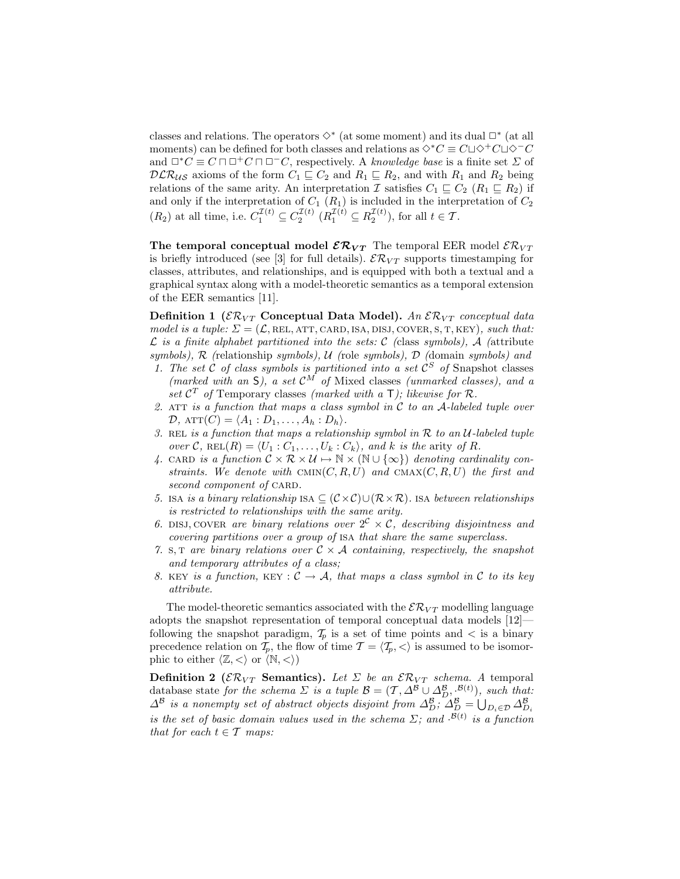classes and relations. The operators  $\diamond^*$  (at some moment) and its dual  $\Box^*$  (at all moments) can be defined for both classes and relations as  $\Diamond^*C \equiv C \Box \Diamond^+ C \Box \Diamond^-C$ and  $\Box^*C \equiv C \sqcap \Box^+C \sqcap \Box^-C$ , respectively. A knowledge base is a finite set  $\Sigma$  of  $DLR_{US}$  axioms of the form  $C_1 \subseteq C_2$  and  $R_1 \subseteq R_2$ , and with  $R_1$  and  $R_2$  being relations of the same arity. An interpretation I satisfies  $C_1 \subseteq C_2$  ( $R_1 \subseteq R_2$ ) if and only if the interpretation of  $C_1$   $(R_1)$  is included in the interpretation of  $C_2$  $(R_2)$  at all time, i.e.  $C_1^{\mathcal{I}(t)} \subseteq C_2^{\mathcal{I}(t)}$   $(R_1^{\mathcal{I}(t)} \subseteq R_2^{\mathcal{I}(t)})$ , for all  $t \in \mathcal{T}$ .

The temporal conceptual model  $\mathcal{ER}_{VT}$  The temporal EER model  $\mathcal{ER}_{VT}$ is briefly introduced (see [3] for full details).  $\mathcal{ER}_{VT}$  supports timestamping for classes, attributes, and relationships, and is equipped with both a textual and a graphical syntax along with a model-theoretic semantics as a temporal extension of the EER semantics [11].

Definition 1 ( $\mathcal{ER}_{VT}$  Conceptual Data Model). An  $\mathcal{ER}_{VT}$  conceptual data model is a tuple:  $\Sigma = (\mathcal{L}, \text{REL}, \text{ATT}, \text{CARD}, \text{ISS}, \text{DISJ}, \text{COVER}, S, T, \text{KEY}),$  such that:  $\mathcal L$  is a finite alphabet partitioned into the sets:  $\mathcal C$  (class symbols),  $\mathcal A$  (attribute symbols),  $\mathcal R$  (relationship symbols),  $\mathcal U$  (role symbols),  $\mathcal D$  (domain symbols) and

- 1. The set  $\ddot{C}$  of class symbols is partitioned into a set  $\ddot{C}^S$  of Snapshot classes (marked with an  $S$ ), a set  $\mathcal{C}^M$  of Mixed classes (unmarked classes), and a set  $\mathcal{C}^T$  of Temporary classes (marked with a  $T$ ); likewise for  $\mathcal{R}$ .
- 2. ATT is a function that maps a class symbol in  $C$  to an  $A$ -labeled tuple over  $\mathcal{D}$ ,  $ATT(C) = \langle A_1 : D_1, \ldots, A_h : D_h \rangle$ .
- 3. REL is a function that maps a relationship symbol in  $R$  to an U-labeled tuple over C, REL $(R) = \langle U_1 : C_1, \ldots, U_k : C_k \rangle$ , and k is the arity of R.
- 4. CARD is a function  $\mathcal{C} \times \mathcal{R} \times \mathcal{U} \mapsto \mathbb{N} \times (\mathbb{N} \cup {\infty})$  denoting cardinality constraints. We denote with  $\text{CMIN}(C, R, U)$  and  $\text{CMAX}(C, R, U)$  the first and second component of CARD.
- 5. ISA is a binary relationship ISA  $\subseteq$   $(C \times C) \cup (\mathcal{R} \times \mathcal{R})$ . ISA between relationships is restricted to relationships with the same arity.
- 6. DISJ, COVER are binary relations over  $2^c \times c$ , describing disjointness and covering partitions over a group of isa that share the same superclass.
- 7. S, T are binary relations over  $C \times A$  containing, respectively, the snapshot and temporary attributes of a class;
- 8. KEY is a function, KEY :  $C \rightarrow A$ , that maps a class symbol in C to its key attribute.

The model-theoretic semantics associated with the  $\mathcal{ER}_{VT}$  modelling language adopts the snapshot representation of temporal conceptual data models [12] following the snapshot paradigm,  $\mathcal{T}_p$  is a set of time points and  $\lt$  is a binary precedence relation on  $\mathcal{T}_p$ , the flow of time  $\mathcal{T} = \langle \mathcal{T}_p, \langle \rangle$  is assumed to be isomorphic to either  $\langle \mathbb{Z}, \langle \rangle$  or  $\langle \mathbb{N}, \langle \rangle$ )

**Definition 2** ( $\mathcal{ER}_{VT}$  **Semantics).** Let  $\Sigma$  be an  $\mathcal{ER}_{VT}$  schema. A temporal database state for the schema  $\Sigma$  is a tuple  $\mathcal{B} = (\mathcal{T}, \Delta^{\mathcal{B}} \cup \Delta^{\mathcal{B}}_{D}, \mathcal{B}^{(t)})$ , such that:  $\Delta^{\mathcal{B}}$  is a nonempty set of abstract objects disjoint from  $\Delta_D^{\mathcal{B}}$ ;  $\Delta_D^{\mathcal{B}} = \bigcup_{D_i \in \mathcal{D}} \Delta_{D_i}^{\mathcal{B}}$ is the set of basic domain values used in the schema  $\Sigma$ ; and  $\mathcal{B}(t)$  is a function that for each  $t \in \mathcal{T}$  maps: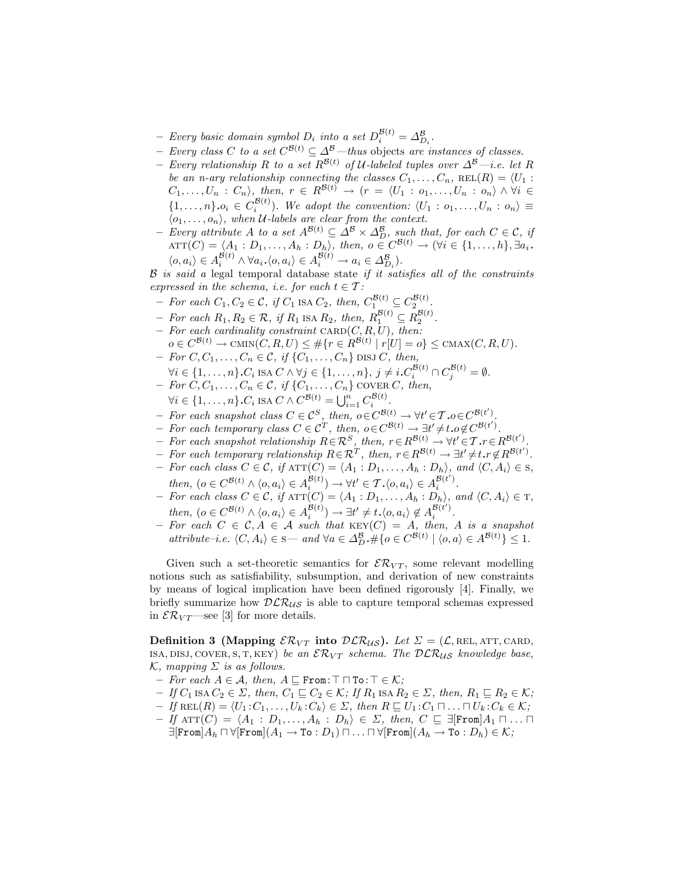- Every basic domain symbol  $D_i$  into a set  $D_i^{\mathcal{B}(t)} = \Delta_{D_i}^{\mathcal{B}}$ .
- − Every class C to a set  $C^{B(t)} \subseteq \Delta^{B}$ —thus objects are instances of classes.
- Every relationship R to a set  $R^{\mathcal{B}(t)}$  of U-labeled tuples over  $\Delta^{\mathcal{B}}$ —i.e. let R be an n-ary relationship connecting the classes  $C_1, \ldots, C_n$ ,  $REL(R) = \langle U_1 :$  $C_1, \ldots, U_n : C_n$ , then,  $r \in R^{\mathcal{B}(t)} \rightarrow (r = \langle U_1 : o_1, \ldots, U_n : o_n \rangle \wedge \forall i \in$  $\{1,\ldots,n\}.o_i \in C_i^{\mathcal{B}(t)}$ . We adopt the convention:  $\langle U_1: o_1,\ldots,U_n: o_n \rangle \equiv$  $\langle o_1, \ldots, o_n \rangle$ , when U-labels are clear from the context.
- $-$  Every attribute A to a set  $A^{\mathcal{B}(t)} \subseteq \Delta^{\mathcal{B}} \times \Delta^{\mathcal{B}}_D$ , such that, for each  $C \in \mathcal{C}$ , if  $\text{ATT}(C) = \langle A_1 : D_1, \ldots, A_h : D_h \rangle$ , then,  $o \in C^{\mathcal{B}(t)} \to (\forall i \in \{1, \ldots, h\}, \exists a_i$ .  $\langle o, a_i \rangle \in A_i^{\mathcal{B}(t)} \wedge \forall a_i. \langle o, a_i \rangle \in A_i^{\mathcal{B}(t)} \rightarrow a_i \in \Delta_{D_i}^{\mathcal{B}}$ .

 $B$  is said a legal temporal database state if it satisfies all of the constraints expressed in the schema, i.e. for each  $t \in \mathcal{T}$ :

- For each  $C_1, C_2 \in \mathcal{C}$ , if  $C_1$  is a  $C_2$ , then,  $C_1^{\mathcal{B}(t)} \subseteq C_2^{\mathcal{B}(t)}$ .
- For each  $R_1, R_2 \in \mathcal{R}$ , if  $R_1$  ISA  $R_2$ , then,  $R_1^{\mathcal{B}(t)} \subseteq R_2^{\mathcal{B}(t)}$ .
- For each cardinality constraint  $CARD(C, R, U)$ , then:  $o \in C^{\mathcal{B}(t)} \to \text{CMIN}(C, R, U) \leq \#\{r \in R^{\mathcal{B}(t)} \mid r[U] = o\} \leq \text{CMAX}(C, R, U).$
- $-$  For  $C, C_1, \ldots, C_n \in \mathcal{C}, \text{ if } \{C_1, \ldots, C_n\} \text{ DISJ } C, \text{ then},$
- $\forall i \in \{1, \ldots, n\} \cdot C_i$  isa  $C \wedge \forall j \in \{1, \ldots, n\}, \ j \neq i \cdot C_i^{\mathcal{B}(t)} \cap C_j^{\mathcal{B}(t)} = \emptyset.$
- $-$  For  $C, C_1, \ldots, C_n \in \mathcal{C}, \text{ if } \{C_1, \ldots, C_n\} \text{ covers } C, \text{ then,}$
- $\forall i \in \{1,\ldots,n\} \cdot C_i$  ISA  $C \wedge C^{\mathcal{B}(t)} = \bigcup_{i=1}^n C_i^{\mathcal{B}(t)}$ .
- For each snapshot class  $C \in \mathcal{C}^S$ , then,  $o \in C^{\mathcal{B}(t)} \to \forall t' \in \mathcal{T} . o \in C^{\mathcal{B}(t')}$ .
- $\overline{F}$  For each temporary class  $C \in \mathcal{C}^T$ , then,  $o \in C^{\mathcal{B}(t)} \rightarrow \exists t' \neq t.o \notin C^{\mathcal{B}(t')}$ .
- $\vdash$  For each snapshot relationship  $R \in \mathcal{R}^S$ , then,  $r \in R^{\mathcal{B}(t)} \rightarrow \forall t' \in \mathcal{T} . r \in R^{\mathcal{B}(t')}$ .
- $\overline{F}$  For each temporary relationship  $R \in \mathcal{R}^T$ , then,  $r \in R^{\mathcal{B}(t)} \rightarrow \exists t' \neq t$ ,  $r \notin R^{\mathcal{B}(t')}$ .
- $-$  For each class  $C \in \mathcal{C}$ , if  $\text{ATT}(\overline{C}) = \langle A_1 : D_1, \ldots, A_h : D_h \rangle$ , and  $\langle C, A_i \rangle \in \mathcal{S}$ , then,  $(o \in C^{\mathcal{B}(t)} \land \langle o, a_i \rangle \in A_i^{\mathcal{B}(t)}) \rightarrow \forall t' \in \mathcal{T}. \langle o, a_i \rangle \in A_i^{\mathcal{B}(t')}$ .
- $-$  For each class  $C \in \mathcal{C}$ , if  $\text{ATT}(C) = \langle A_1 : D_1, \ldots, A_h : D_h \rangle$ , and  $\langle C, A_i \rangle \in \text{T}$ , then,  $(o \in C^{\mathcal{B}(t)} \land \langle o, a_i \rangle \in A_i^{\mathcal{B}(t)}) \rightarrow \exists t' \neq t \ldotp \langle o, a_i \rangle \notin A_i^{\mathcal{B}(t')}$ .
- For each  $C \in \mathcal{C}, A \in \mathcal{A}$  such that  $KEY(C) = A$ , then, A is a snapshot  $attribute-i.e. \langle C, A_i \rangle \in \mathbf{S}$  — and  $\forall a \in \Delta_D^{\mathcal{B}}$ ,  $\#\{o \in C^{\mathcal{B}(t)} \mid \langle o, a \rangle \in A^{\mathcal{B}(t)}\} \leq 1$ .

Given such a set-theoretic semantics for  $\mathcal{ER}_{VT}$ , some relevant modelling notions such as satisfiability, subsumption, and derivation of new constraints by means of logical implication have been defined rigorously [4]. Finally, we briefly summarize how  $DLR_{US}$  is able to capture temporal schemas expressed in  $\mathcal{ER}_{VT}$ —see [3] for more details.

**Definition 3 (Mapping**  $\mathcal{ER}_{VT}$  **into**  $\mathcal{DLR}_{US}$ **).** Let  $\Sigma = (\mathcal{L}, \text{REL}, \text{ATT}, \text{CARD},$ ISA, DISJ, COVER, S, T, KEY) be an  $\mathcal{ER}_{VT}$  schema. The  $\mathcal{DLR}_{US}$  knowledge base,  $\mathcal{K}$ , mapping  $\Sigma$  is as follows.

- $-$  For each  $A \in \mathcal{A}$ , then,  $A \sqsubseteq$  From:  $\top \sqcap$  To:  $\top \in \mathcal{K}$ ;
- $-If C_1$  ISA  $C_2 \in \Sigma$ , then,  $C_1 \sqsubseteq C_2 \in \mathcal{K}$ ; If  $R_1$  ISA  $R_2 \in \Sigma$ , then,  $R_1 \sqsubseteq R_2 \in \mathcal{K}$ ;
- $-If \text{ REL}(R) = \langle U_1 : C_1, \ldots, U_k : C_k \rangle \in \Sigma$ , then  $R \sqsubseteq U_1 : C_1 \sqcap \ldots \sqcap U_k : C_k \in \mathcal{K};$
- $-If \text{ ATT}(C) = \langle A_1 : D_1, \ldots, A_h : D_h \rangle \in \Sigma$ , then,  $C \subseteq \exists [\text{From}] A_1 \sqcap \ldots \sqcap$  $\exists$ [From] $A_h \sqcap \forall$ [From] $(A_1 \rightarrow \texttt{To} : D_1) \sqcap \ldots \sqcap \forall$ [From] $(A_h \rightarrow \texttt{To} : D_h) \in \mathcal{K}$ ;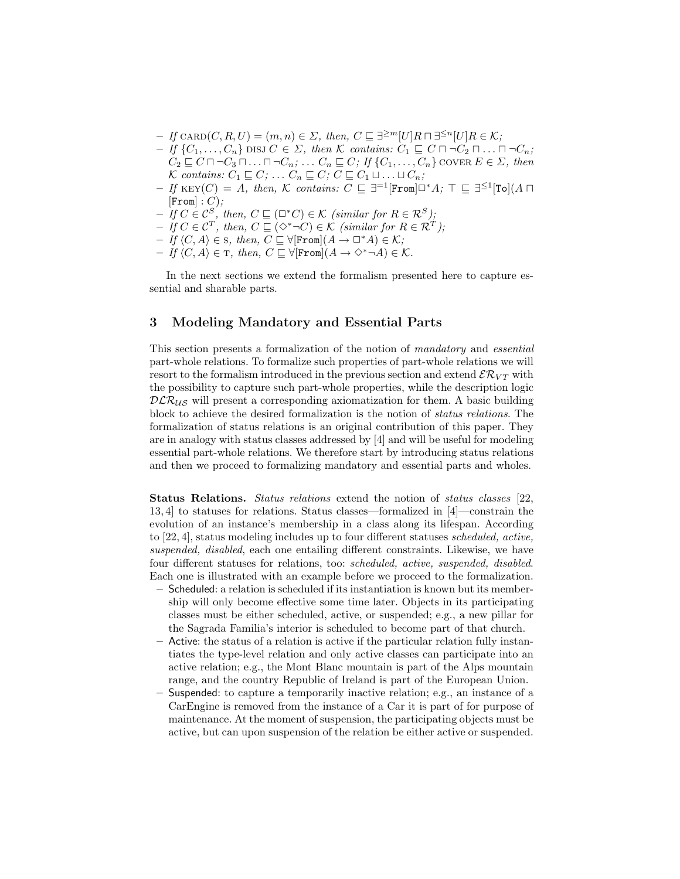- $-If$  CARD $(C, R, U) = (m, n) \in \Sigma$ , then,  $C \sqsubseteq \exists^{\geq m}[U]R \sqcap \exists^{\leq n}[U]R \in \mathcal{K}$ ;
- $-I$  { $C_1, \ldots, C_n$ } DISJ  $C \in \Sigma$ , then K contains:  $C_1 \sqsubseteq C \sqcap \neg C_2 \sqcap \ldots \sqcap \neg C_n$ ;  $C_2 \sqsubseteq C \sqcap \neg C_3 \sqcap \ldots \sqcap \neg C_n; \ldots C_n \sqsubseteq C;$  If  $\{C_1, \ldots, C_n\}$  cover  $E \in \Sigma$ , then K contains:  $C_1 \sqsubseteq C; \ldots C_n \sqsubseteq C; C \sqsubseteq C_1 \sqcup \ldots \sqcup C_n;$
- $-If$  KEY $(C) = A$ , then, K contains:  $C \subseteq \exists^{-1}[\texttt{From}] \Box^* A$ ;  $\top \subseteq \exists^{\leq 1}[\texttt{To}](A \Box$  $[From]: C);$
- $-If C \in \mathcal{C}^S$ , then,  $C \sqsubseteq (\square^* C) \in \mathcal{K}$  (similar for  $R \in \mathcal{R}^S$ );
- $-If C \in \mathcal{C}^{T}$ , then,  $C \sqsubseteq (\Diamond^* \neg C) \in \mathcal{K}$  (similar for  $R \in \mathcal{R}^{T}$ );
- $-If \langle C, A \rangle \in S$ , then,  $C \subseteq \forall [\texttt{From}](A \rightarrow \Box^*A) \in \mathcal{K};$
- $-If\langle C, A\rangle \in \texttt{T}, \text{ then, } C \sqsubseteq \forall [\texttt{From}](A \rightarrow \Diamond^* \neg A) \in \mathcal{K}.$

In the next sections we extend the formalism presented here to capture essential and sharable parts.

#### 3 Modeling Mandatory and Essential Parts

This section presents a formalization of the notion of mandatory and essential part-whole relations. To formalize such properties of part-whole relations we will resort to the formalism introduced in the previous section and extend  $\mathcal{ER}_{VT}$  with the possibility to capture such part-whole properties, while the description logic  $DLR_{US}$  will present a corresponding axiomatization for them. A basic building block to achieve the desired formalization is the notion of status relations. The formalization of status relations is an original contribution of this paper. They are in analogy with status classes addressed by [4] and will be useful for modeling essential part-whole relations. We therefore start by introducing status relations and then we proceed to formalizing mandatory and essential parts and wholes.

Status Relations. Status relations extend the notion of status classes [22, 13, 4] to statuses for relations. Status classes—formalized in [4]—constrain the evolution of an instance's membership in a class along its lifespan. According to [22, 4], status modeling includes up to four different statuses scheduled, active, suspended, disabled, each one entailing different constraints. Likewise, we have four different statuses for relations, too: scheduled, active, suspended, disabled. Each one is illustrated with an example before we proceed to the formalization.

- Scheduled: a relation is scheduled if its instantiation is known but its membership will only become effective some time later. Objects in its participating classes must be either scheduled, active, or suspended; e.g., a new pillar for the Sagrada Familia's interior is scheduled to become part of that church.
- Active: the status of a relation is active if the particular relation fully instantiates the type-level relation and only active classes can participate into an active relation; e.g., the Mont Blanc mountain is part of the Alps mountain range, and the country Republic of Ireland is part of the European Union.
- Suspended: to capture a temporarily inactive relation; e.g., an instance of a CarEngine is removed from the instance of a Car it is part of for purpose of maintenance. At the moment of suspension, the participating objects must be active, but can upon suspension of the relation be either active or suspended.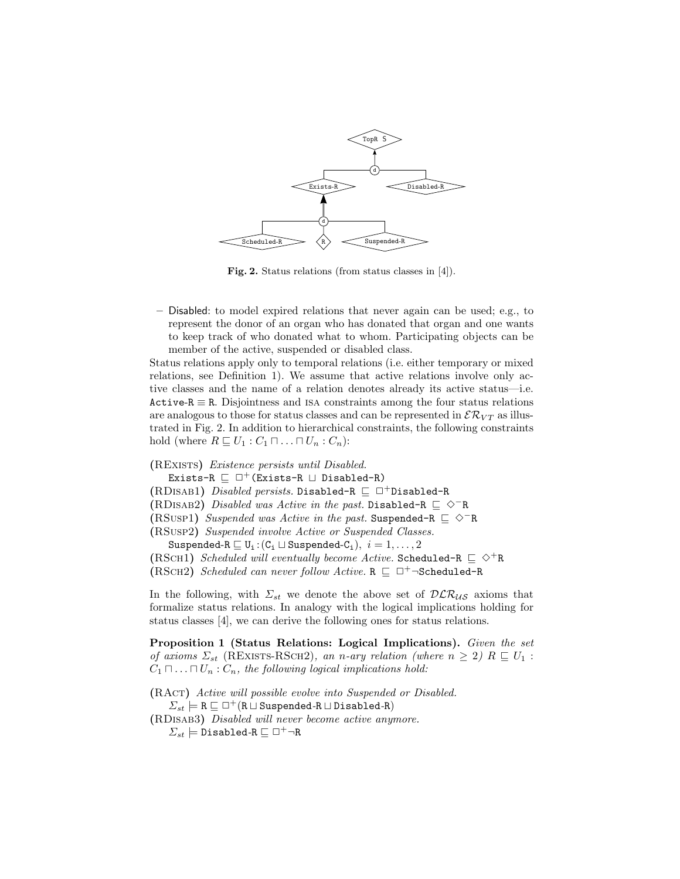

Fig. 2. Status relations (from status classes in [4]).

– Disabled: to model expired relations that never again can be used; e.g., to represent the donor of an organ who has donated that organ and one wants to keep track of who donated what to whom. Participating objects can be member of the active, suspended or disabled class.

Status relations apply only to temporal relations (i.e. either temporary or mixed relations, see Definition 1). We assume that active relations involve only active classes and the name of a relation denotes already its active status—i.e. Active-R  $\equiv$  R. Disjointness and ISA constraints among the four status relations are analogous to those for status classes and can be represented in  $\mathcal{ER}_{VT}$  as illustrated in Fig. 2. In addition to hierarchical constraints, the following constraints hold (where  $R \sqsubseteq U_1 : C_1 \sqcap \ldots \sqcap U_n : C_n$ ):

(RExists) Existence persists until Disabled.

Exists-R  $\sqsubset \Box^+$  (Exists-R  $\sqcup$  Disabled-R)

(RDISAB1) Disabled persists. Disabled-R  $\sqsubseteq \Box^+$ Disabled-R

(RDISAB2) Disabled was Active in the past. Disabled-R  $\subseteq \Diamond^{-}R$ 

(RSUSP1) Suspended was Active in the past. Suspended-R  $\subseteq \Diamond$ <sup>−</sup>R

(RSusp2) Suspended involve Active or Suspended Classes.

Suspended-R  $\sqsubseteq U_i$ :  $(C_i \sqcup$  Suspended- $C_i$ ),  $i = 1, ..., 2$ 

(RSCH1) Scheduled will eventually become Active. Scheduled-R  $\subseteq \Diamond^+R$ 

(RSCH2) Scheduled can never follow Active.  $R \sqsubseteq \Box^+$  $\neg$ Scheduled-R

In the following, with  $\Sigma_{st}$  we denote the above set of  $\mathcal{DLR}_{US}$  axioms that formalize status relations. In analogy with the logical implications holding for status classes [4], we can derive the following ones for status relations.

Proposition 1 (Status Relations: Logical Implications). Given the set of axioms  $\Sigma_{st}$  (REXISTS-RSCH2), an n-ary relation (where  $n \geq 2$ )  $R \sqsubseteq U_1$ :  $C_1 \sqcap \ldots \sqcap U_n : C_n$ , the following logical implications hold:

(RAct) Active will possible evolve into Suspended or Disabled.  $\Sigma_{st} \models R \sqsubseteq \Box^+(R \sqcup \text{Suspended-R} \sqcup \text{Disabled-R})$ (RDisab3) Disabled will never become active anymore.  $\Sigma_{st} \models \bar{\texttt{Disabled-R}} \sqsubseteq \Box^+ \neg \texttt{R}$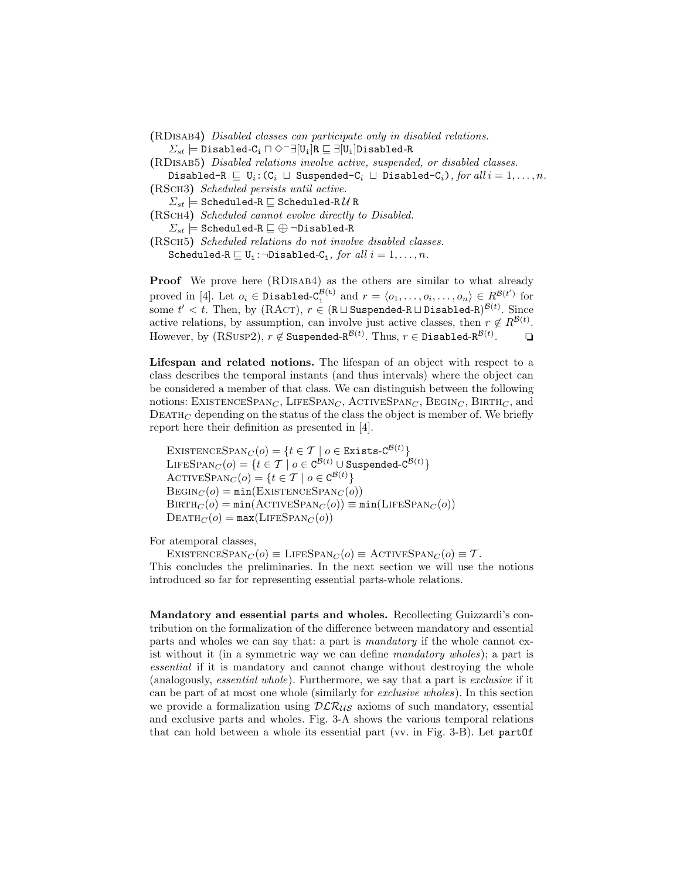- (RDisab4) Disabled classes can participate only in disabled relations.  $\Sigma_{st} \models$  Disabled-C<sub>i</sub>  $\sqcap \Diamond^{-} \exists [\mathtt{U_i}] \mathtt{R} \sqsubseteq \exists [\mathtt{U_i}]$ Disabled-R
- (RDisab5) Disabled relations involve active, suspended, or disabled classes.
- Disabled-R  $\Box$  U<sub>i</sub>:(C<sub>i</sub>  $\Box$  Suspended-C<sub>i</sub>  $\Box$  Disabled-C<sub>i</sub>), for all  $i = 1, ..., n$ . (RSch3) Scheduled persists until active.
- $\Sigma_{st} \models$  Scheduled-R  $\sqsubseteq$  Scheduled-R  $\mathcal U$  R
- (RSch4) Scheduled cannot evolve directly to Disabled.
	- $\Sigma_{st} \models$  Scheduled-R  $\sqsubseteq \oplus$  ¬Disabled-R
- (RSch5) Scheduled relations do not involve disabled classes. Scheduled-R  $\sqsubseteq U_i$ : $\neg$ Disabled-C<sub>i</sub>, for all  $i = 1, ..., n$ .

Proof We prove here (RDISAB4) as the others are similar to what already proved in [4]. Let  $o_i \in \text{Disabled-}C_1^{\mathcal{B}(t)}$  and  $r = \langle o_1, \ldots, o_i, \ldots, o_n \rangle \in \mathbb{R}^{\mathcal{B}(t')}$  for some  $t' < t$ . Then, by (RACT),  $r \in (R \sqcup$  Suspended-R $\sqcup$  Disabled-R $)^{\mathcal{B}(t)}$ . Since active relations, by assumption, can involve just active classes, then  $r \notin R^{\mathcal{B}(t)}$ . However, by  $(RSUSP2), r \notin S$ uspended-R $^{\mathcal{B}(t)}$ . Thus,  $r \in \texttt{Disabled-R}^{\mathcal{B}(t)}$  $\Box$ 

Lifespan and related notions. The lifespan of an object with respect to a class describes the temporal instants (and thus intervals) where the object can be considered a member of that class. We can distinguish between the following notions: EXISTENCESPAN<sub>C</sub>, LIFESPAN<sub>C</sub>, ACTIVESPAN<sub>C</sub>, BEGIN<sub>C</sub>, BIRTH<sub>C</sub>, and  $DEATH<sub>C</sub>$  depending on the status of the class the object is member of. We briefly report here their definition as presented in [4].

 $\textsc{ExistenceSpan}_{C}(o) = \{t \in \mathcal{T} \mid o \in \textsc{Exists-C}^{\mathcal{B}(t)}\}$  $\text{LIESPAN}_C(o) = \{t \in \mathcal{T} \mid o \in \text{C}^{\mathcal{B}(t)} \cup \text{Suspended-C}^{\mathcal{B}(t)}\}$ ACTIVESPAN $_C(o) = \{t \in \mathcal{T} \mid o \in \mathcal{C}^{\mathcal{B}(t)}\}$  $\text{BEGIN}_C (o) = \min(\text{EXISTENCESPAN}_C (o))$  $BIRTH_C (o) = min(ACTIVESPAN_C (o)) \equiv min(LIFESPAN_C (o))$  $\text{DEATH}_C (o) = \max(\text{LIFESPAN}_C (o))$ 

For atemporal classes,

EXISTENCESPAN<sub>C</sub> $(o) \equiv$  LIFESPAN<sub>C</sub> $(o) \equiv$  ACTIVESPAN<sub>C</sub> $(o) \equiv \mathcal{T}$ . This concludes the preliminaries. In the next section we will use the notions introduced so far for representing essential parts-whole relations.

Mandatory and essential parts and wholes. Recollecting Guizzardi's contribution on the formalization of the difference between mandatory and essential parts and wholes we can say that: a part is mandatory if the whole cannot exist without it (in a symmetric way we can define mandatory wholes); a part is essential if it is mandatory and cannot change without destroying the whole (analogously, essential whole). Furthermore, we say that a part is exclusive if it can be part of at most one whole (similarly for exclusive wholes). In this section we provide a formalization using  $DLR_{US}$  axioms of such mandatory, essential and exclusive parts and wholes. Fig. 3-A shows the various temporal relations that can hold between a whole its essential part (vv. in Fig. 3-B). Let partOf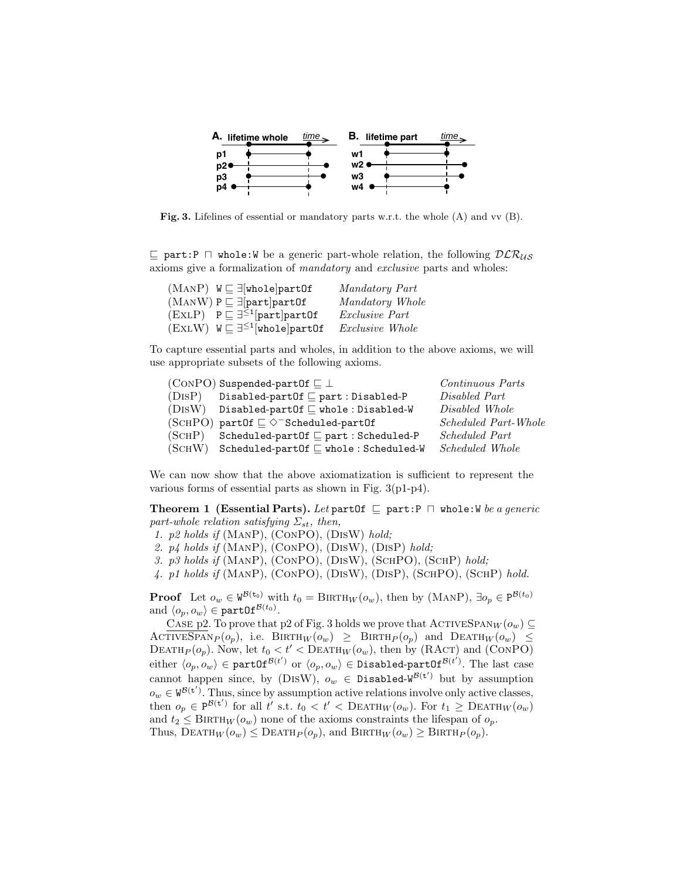

Fig. 3. Lifelines of essential or mandatory parts w.r.t. the whole (A) and vv (B).

 $\Box$  part: P  $\Box$  whole: W be a generic part-whole relation, the following  $DLR_{US}$ axioms give a formalization of mandatory and exclusive parts and wholes:

| $(MANP)$ $W \sqsubseteq \exists$ whole part Of          | Mandatory Part        |
|---------------------------------------------------------|-----------------------|
| $(MANW)$ $P \sqsubseteq \exists [part]$ part $0f$       | Mandatory Whole       |
| $(EXLP)$ $P \sqsubseteq \exists^{\leq 1}$ [part]part0f  | <i>Exclusive Part</i> |
| $(EXLW)$ $W \sqsubseteq \exists^{\leq 1}$ [whole]partOf | Exclusive Whole       |

To capture essential parts and wholes, in addition to the above axioms, we will use appropriate subsets of the following axioms.

|        | (CONPO) Suspended-part Of $\sqsubseteq \bot$               | Continuous Parts            |
|--------|------------------------------------------------------------|-----------------------------|
| (DISP) | Disabled-partOf $\sqsubseteq$ part : Disabled-P            | Disabled Part               |
|        | $(DISW)$ Disabled-partOf $\sqsubseteq$ whole: Disabled-W   | Disabled Whole              |
|        | (SCHPO) partOf $\subseteq \Diamond^{-}$ Scheduled-partOf   | <i>Scheduled Part-Whole</i> |
| (SCHP) | Scheduled-part Of $\sqsubseteq$ part : Scheduled-P         | <i>Scheduled Part</i>       |
|        | $(SCHW)$ Scheduled-partOf $\sqsubseteq$ whole: Scheduled-W | <i>Scheduled Whole</i>      |

We can now show that the above axiomatization is sufficient to represent the various forms of essential parts as shown in Fig. 3(p1-p4).

**Theorem 1 (Essential Parts).** Let part Of  $\subseteq$  part:P  $\cap$  whole:W be a generic part-whole relation satisfying  $\Sigma_{st}$ , then,

1. p2 holds if (ManP), (ConPO), (DisW) hold;

2.  $p_4$  holds if (MANP), (CONPO), (DISW), (DISP) hold;

- 3. p3 holds if (ManP), (ConPO), (DisW), (SchPO), (SchP) hold;
- 4. p1 holds if (ManP), (ConPO), (DisW), (DisP), (SchPO), (SchP) hold.

**Proof** Let  $o_w \in W^{\mathcal{B}(\mathbf{t}_0)}$  with  $t_0 = \text{BIRTH}_W(o_w)$ , then by (MANP),  $\exists o_p \in P^{\mathcal{B}(t_0)}$ and  $\langle o_p, o_w \rangle \in \texttt{partOf}^{\mathcal{B}(t_0)}$ .

CASE p2. To prove that p2 of Fig. 3 holds we prove that  $\text{ACTIVESPAN}_W(o_w) \subseteq$ ACTIVESPAN<sub>P</sub> $(o_p)$ , i.e. BIRTH<sub>W</sub> $(o_w) \geq$  BIRTH<sub>P</sub> $(o_p)$  and DEATH<sub>W</sub> $(o_w)$ DEATH<sub>P</sub> $(o_p)$ . Now, let  $t_0 < t' <$ DEATH<sub>W</sub> $(o_w)$ , then by (RACT) and (CONPO) either  $\langle o_p, o_w \rangle \in \texttt{partOf}^{\mathcal{B}(t')}$  or  $\langle o_p, o_w \rangle \in \texttt{Disabled-partOf}^{\mathcal{B}(t')}$ . The last case cannot happen since, by (DISW),  $o_w \in \text{Disabled-W}^{\mathcal{B}(\mathbf{t}')}$  but by assumption  $o_w \in W^{\mathcal{B}(\mathbf{t}')}$ . Thus, since by assumption active relations involve only active classes, then  $o_p \in P^{\mathcal{B}(t')}$  for all t' s.t.  $t_0 < t' <$  DEATH<sub>W</sub> $(o_w)$ . For  $t_1 \geq$  DEATH<sub>W</sub> $(o_w)$ and  $t_2 \leq \text{BIRTH}_W(o_w)$  none of the axioms constraints the lifespan of  $o_p$ . Thus,  $\text{DEATH}_W(o_w) \leq \text{DEATH}_P(o_p)$ , and  $\text{BIRTH}_W(o_w) \geq \text{BIRTH}_P(o_p)$ .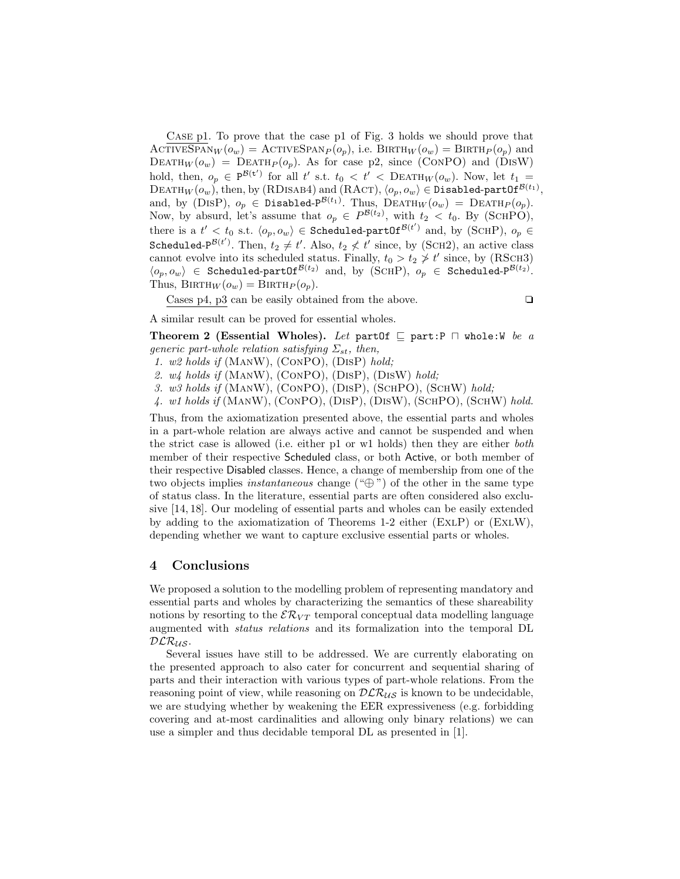Case p1. To prove that the case p1 of Fig. 3 holds we should prove that ACTIVESPAN $_W(o_w) =$  ACTIVESPAN $_P(o_p)$ , i.e. BIRTH $_W(o_w) =$  BIRTH $_P(o_p)$  and DEATH $_W(o_w)$  = DEATH $_P(o_p)$ . As for case p2, since (CONPO) and (DISW) hold, then,  $o_p \in P^{\mathcal{B}(t')}$  for all t' s.t.  $t_0 < t' < D \text{EATH}_W(o_w)$ . Now, let  $t_1 =$  $\text{DEATH}_W(o_w)$ , then, by (RDISAB4) and (RACT),  $\langle o_p, o_w\rangle \in \text{Disabled-partOf}^{\mathcal{B}(t_1)},$ and, by (DISP),  $o_p \in \text{Disabled-P}^{\mathcal{B}(t_1)}$ . Thus,  $\text{DEATH}_W(o_w) = \text{DEATH}_P(o_p)$ . Now, by absurd, let's assume that  $o_p \in P^{\mathcal{B}(t_2)}$ , with  $t_2 < t_0$ . By (SCHPO), there is a  $t' < t_0$  s.t.  $\langle o_p, o_w \rangle \in$  Scheduled-partOf $^{\mathcal{B}(t')}$  and, by (SCHP),  $o_p \in$ Scheduled-P<sup> $\mathcal{B}(t')$ </sup>. Then,  $t_2 \neq t'$ . Also,  $t_2 \not< t'$  since, by (SCH2), an active class cannot evolve into its scheduled status. Finally,  $t_0 > t_2 \ngeq t'$  since, by (RSCH3)  $\langle o_p, o_w \rangle \in$  Scheduled-partOf<sup>B(t2)</sup> and, by (SCHP),  $o_p \in$  Scheduled-P<sup>B(t2)</sup>. Thus,  $BIRTH_W(o_w) = BIRTH_P(o_p)$ .

Cases p4, p3 can be easily obtained from the above.  $\Box$ 

A similar result can be proved for essential wholes.

Theorem 2 (Essential Wholes). Let partOf  $\sqsubseteq$  part:P  $\sqcap$  whole:W be a generic part-whole relation satisfying  $\Sigma_{st}$ , then,

- 1. w2 holds if (ManW), (ConPO), (DisP) hold;
- 2.  $w_4$  holds if (MANW), (CONPO), (DISP), (DISW) hold;
- 3. w3 holds if (ManW), (ConPO), (DisP), (SchPO), (SchW) hold;
- 4. w1 holds if (ManW), (ConPO), (DisP), (DisW), (SchPO), (SchW) hold.

Thus, from the axiomatization presented above, the essential parts and wholes in a part-whole relation are always active and cannot be suspended and when the strict case is allowed (i.e. either p1 or w1 holds) then they are either both member of their respective Scheduled class, or both Active, or both member of their respective Disabled classes. Hence, a change of membership from one of the two objects implies *instantaneous* change  $(\mathscr{L} \mathscr{L})$  of the other in the same type of status class. In the literature, essential parts are often considered also exclusive [14, 18]. Our modeling of essential parts and wholes can be easily extended by adding to the axiomatization of Theorems 1-2 either (ExlP) or (ExlW), depending whether we want to capture exclusive essential parts or wholes.

### 4 Conclusions

We proposed a solution to the modelling problem of representing mandatory and essential parts and wholes by characterizing the semantics of these shareability notions by resorting to the  $\mathcal{ER}_{VT}$  temporal conceptual data modelling language augmented with status relations and its formalization into the temporal DL  $DLR_{US}$ .

Several issues have still to be addressed. We are currently elaborating on the presented approach to also cater for concurrent and sequential sharing of parts and their interaction with various types of part-whole relations. From the reasoning point of view, while reasoning on  $\mathcal{DLR}_{\mathcal{US}}$  is known to be undecidable, we are studying whether by weakening the EER expressiveness (e.g. forbidding covering and at-most cardinalities and allowing only binary relations) we can use a simpler and thus decidable temporal DL as presented in [1].